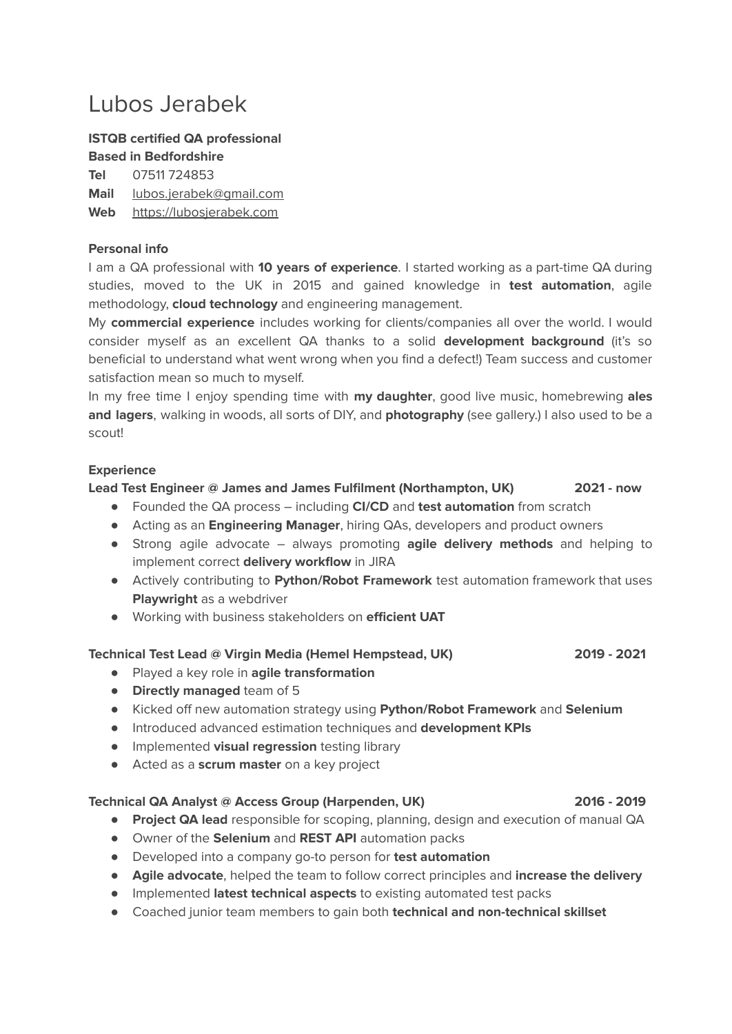## Lubos Jerabek

### **ISTQB certified QA professional Based in Bedfordshire**

**Tel** 07511 724853 **Mail** [lubos.jerabek@gmail.com](mailto:lubos.jerabek@gmail.com) **Web** <https://lubosjerabek.com>

### **Personal info**

I am a QA professional with **10 years of experience**. I started working as a part-time QA during studies, moved to the UK in 2015 and gained knowledge in **test automation**, agile methodology, **cloud technology** and engineering management.

My **commercial experience** includes working for clients/companies all over the world. I would consider myself as an excellent QA thanks to a solid **development background** (it's so beneficial to understand what went wrong when you find a defect!) Team success and customer satisfaction mean so much to myself.

In my free time I enjoy spending time with **my daughter**, good live music, homebrewing **ales and lagers**, walking in woods, all sorts of DIY, and **photography** (see gallery.) I also used to be a scout!

### **Experience**

### **Lead Test Engineer @ James and James Fulfilment (Northampton, UK) 2021 - now**

- Founded the QA process including **CI/CD** and **test automation** from scratch
- Acting as an **Engineering Manager**, hiring QAs, developers and product owners
- Strong agile advocate always promoting **agile delivery methods** and helping to implement correct **delivery workflow** in JIRA
- Actively contributing to **Python/Robot Framework** test automation framework that uses **Playwright** as a webdriver
- Working with business stakeholders on **efficient UAT**

### **Technical Test Lead @ Virgin Media (Hemel Hempstead, UK) 2019 - 2021**

- Played a key role in **agile transformation**
- **Directly managed** team of 5
- Kicked off new automation strategy using **Python/Robot Framework** and **Selenium**
- Introduced advanced estimation techniques and **development KPIs**
- Implemented **visual regression** testing library
- Acted as a **scrum master** on a key project

### **Technical QA Analyst @ Access Group (Harpenden, UK) 2016 - 2019**

- **Project QA lead** responsible for scoping, planning, design and execution of manual QA
- Owner of the **Selenium** and **REST API** automation packs
- Developed into a company go-to person for **test automation**
- **Agile advocate**, helped the team to follow correct principles and **increase the delivery**
- Implemented **latest technical aspects** to existing automated test packs
- Coached junior team members to gain both **technical and non-technical skillset**